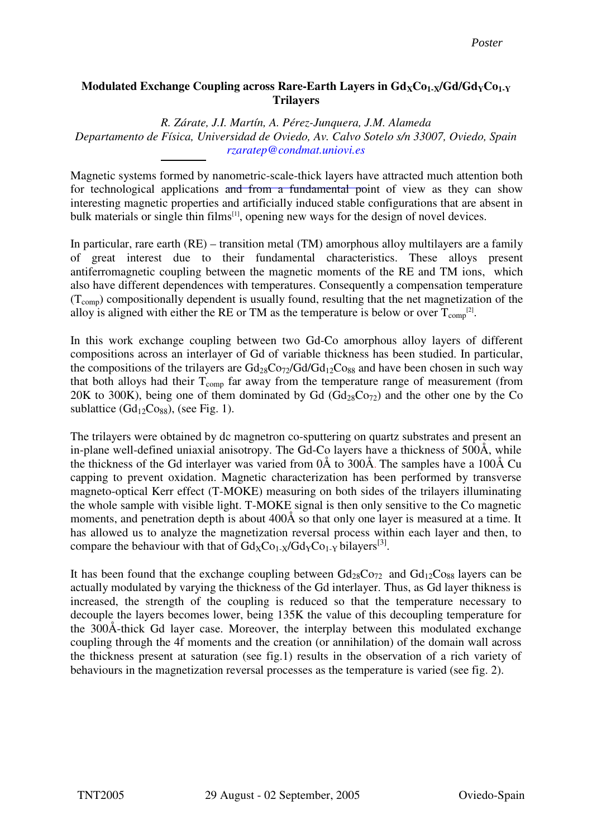## **Modulated Exchange Coupling across Rare-Earth Layers in**  $Gd_XC_0$ **<sub>1-X</sub>/** $Gd/Gd_YC_0$ **<sub>1-Y</sub> Trilayers**

*R. Zárate, J.I. Martín, A. Pérez-Junquera, J.M. Alameda* 

*Departamento de Física, Universidad de Oviedo, Av. Calvo Sotelo s/n 33007, Oviedo, Spain rzaratep@condmat.uniovi.es*

Magnetic systems formed by nanometric-scale-thick layers have attracted much attention both for technological applications and from a fundamental point of view as they can show interesting magnetic properties and artificially induced stable configurations that are absent in bulk materials or single thin films<sup>[1]</sup>, opening new ways for the design of novel devices.

In particular, rare earth (RE) – transition metal (TM) amorphous alloy multilayers are a family of great interest due to their fundamental characteristics. These alloys present antiferromagnetic coupling between the magnetic moments of the RE and TM ions, which also have different dependences with temperatures. Consequently a compensation temperature  $(T_{\text{com}})$  compositionally dependent is usually found, resulting that the net magnetization of the alloy is aligned with either the RE or TM as the temperature is below or over  $T_{\text{comp}}^{[2]}$ .

In this work exchange coupling between two Gd-Co amorphous alloy layers of different compositions across an interlayer of Gd of variable thickness has been studied. In particular, the compositions of the trilayers are  $Gd_{28}Co_{72}/Gd/Gd_{12}Co_{88}$  and have been chosen in such way that both alloys had their  $T_{\text{comp}}$  far away from the temperature range of measurement (from 20K to 300K), being one of them dominated by Gd  $(\text{Gd}_{28}\text{C}_{272})$  and the other one by the Co sublattice  $(Gd_{12}Co_{88})$ , (see Fig. 1).

The trilayers were obtained by dc magnetron co-sputtering on quartz substrates and present an in-plane well-defined uniaxial anisotropy. The Gd-Co layers have a thickness of 500Å, while the thickness of the Gd interlayer was varied from 0Å to 300Å. The samples have a 100Å Cu capping to prevent oxidation. Magnetic characterization has been performed by transverse magneto-optical Kerr effect (T-MOKE) measuring on both sides of the trilayers illuminating the whole sample with visible light. T-MOKE signal is then only sensitive to the Co magnetic moments, and penetration depth is about 400Å so that only one layer is measured at a time. It has allowed us to analyze the magnetization reversal process within each layer and then, to compare the behaviour with that of  $Gd_XCo_{1-X}/Gd_YCo_{1-Y}$  bilayers<sup>[3]</sup>.

It has been found that the exchange coupling between  $Gd_{28}Co_{72}$  and  $Gd_{12}Co_{88}$  layers can be actually modulated by varying the thickness of the Gd interlayer. Thus, as Gd layer thikness is increased, the strength of the coupling is reduced so that the temperature necessary to decouple the layers becomes lower, being 135K the value of this decoupling temperature for the 300Å-thick Gd layer case. Moreover, the interplay between this modulated exchange coupling through the 4f moments and the creation (or annihilation) of the domain wall across the thickness present at saturation (see fig.1) results in the observation of a rich variety of behaviours in the magnetization reversal processes as the temperature is varied (see fig. 2).